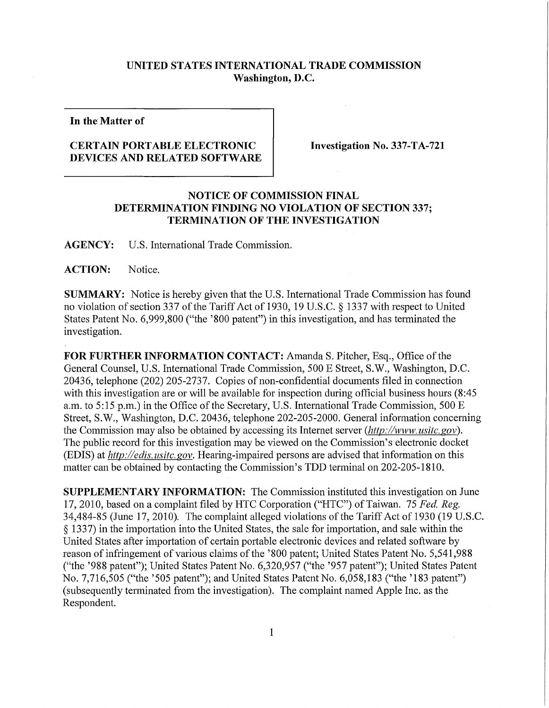## **UNITED STATES INTERNATIONAL TRADE COMMISSION Washington, D.C.**

**In the Matter of** 

## **CERTAIN PORTABLE ELECTRONIC DEVICES AND RELATED SOFTWARE**

**Investigation No. 337-TA-721** 

## **NOTICE OF COMMISSION FINAL DETERMINATION FINDING NO VIOLATION OF SECTION 337; TERMINATION OF THE INVESTIGATION**

**AGENCY:** U**.S.** International Trade Commission.

ACTION: Notice.

**SUMMARY:** Notice is hereby given that the U.S. International Trade Commission has found no violation of section 337 of the Tariff Act of 1930, 19 U.S.C. § 1337 with respect to United States Patent No. 6,999,800 ("the '800 patent") in this investigation, and has terminated the investigation.

FOR FURTHER INFORMATION CONTACT: Amanda S. Pitcher, Esq., Office of the General Counsel, U.S. International Trade Commission, 500 E Street, S.W., Washington, D.C. 20436, telephone (202) 205-2737. Copies of non-confidential documents filed in connection with this investigation are or will be available for inspection during official business hours (8:45 a.m. to 5:15 p.m.) in the Office of the Secretary, U.S. International Trade Commission, 500 E Street, S.W., Washington, D.C. 20436, telephone 202-205-2000. General information concerning the Commission may also be obtained by accessing its Internet server *(http://www. usitc.gov).*  The public record for this investigation may be viewed on the Commission's electronic docket (EDIS) at *http://edis. usitc. gov.* Hearing-impaired persons are advised that information on this matter can be obtained by contacting the Commission's TDD terminal on 202-205-1810.

**SUPPLEMENTARY INFORMATION:** The Commission instituted this investigation on June 17, 2010, based on a complaint filed by HTC Corporation ("HTC") of Taiwan. 75 *Fed. Reg.*  34,484-85 (June 17, 2010). The complaint alleged violations of the Tariff Act of 1930 (19 U.S.C. § 1337) in the importation into the United States, the sale for importation, and sale within the United States after importation of certain portable electronic devices and related software by reason of infringement of various claims of the '800 patent; United States Patent No. 5,541,988 ("the '988 patent"); United States Patent No. 6,320,957 ("the '957 patent"); United States Patent No. 7,716,505 ("the '505 patent"); and United States Patent No. 6,058,183 ("the '183 patent") (subsequently terminated from the investigation). The complaint named Apple Inc. as the Respondent.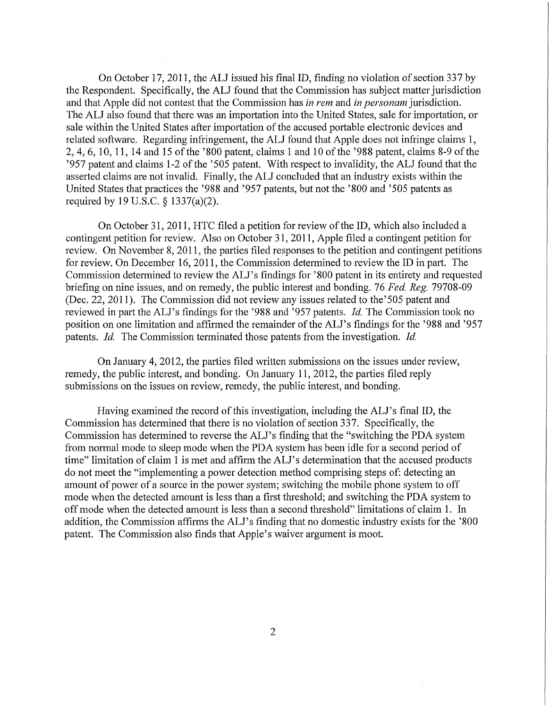On October 17, 2011, the ALJ issued his final ID, finding no violation of section 337 by the Respondent. Specifically, the ALJ found that the Commission has subject matter jurisdiction and that Apple did not contest that the Commission has *in rem* and *in personam* jurisdiction. The ALJ also found that there was an importation into the United States, sale for importation, or sale within the United States after importation of the accused portable electronic devices and related software. Regarding infringement, the ALJ found that Apple does not infringe claims 1, 2, 4, 6, 10, 11, 14 and 15 of the '800 patent, claims 1 and 10 of the '988 patent, claims 8-9 of the '957 patent and claims 1-2 of the '505 patent. With respect to invalidity, the AL J found that the asserted claims are not invalid. Finally, the ALJ concluded that an industry exists within the United States that practices the '988 and '957 patents, but not the '800 and '505 patents as required by 19 U.S.C. § 1337(a)(2).

On October 31, 2011, HTC filed a petition for review of the ID, which also included a contingent petition for review. Also on October 31, 2011, Apple filed a contingent petition for review. On November 8, 2011, the parties filed responses to the petition and contingent petitions for review. On December 16, 2011, the Commission determined to review the ID in part. The Commission determined to review the ALJ's findings for '800 patent in its entirety and requested briefing on nine issues, and on remedy, the public interest and bonding. 76 Fed. Reg. 79708-09 (Dec. 22, 2011). The Commission did not review any issues related to the'505 patent and reviewed in part the ALJ's findings for the '988 and '957 patents. *Id.* The Commission took no position on one limitation and affirmed the remainder of the ALJ's findings for the '988 and '957 patents. *Id.* The Commission terminated those patents from the investigation. *Id.* 

On January 4, 2012, the parties filed written submissions on the issues under review, remedy, the public interest, and bonding. On January 11, 2012, the parties filed reply submissions on the issues on review, remedy, the public interest, and bonding.

Having examined the record of this investigation, including the ALJ's final ID, the Commission has determined that there is no violation of section 337. Specifically, the Commission has determined to reverse the ALJ's finding that the "switching the PDA system from normal mode to sleep mode when the PDA system has been idle for a second period of time" limitation of claim 1 is met and affirm the ALJ's determination that the accused products do not meet the "implementing a power detection method comprising steps of: detecting an amount of power of a source in the power system; switching the mobile phone system to off mode when the detected amount is less than a first threshold; and switching the PDA system to off mode when the detected amount is less than a second threshold" limitations of claim 1. In addition, the Commission affirms the ALJ's finding that no domestic industry exists for the '800 patent. The Commission also finds that Apple's waiver argument is moot.